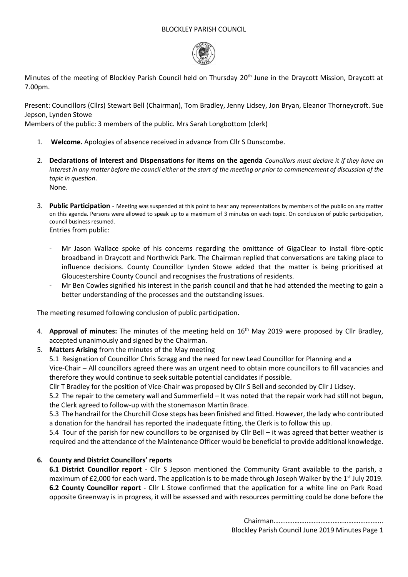### BLOCKLEY PARISH COUNCIL



Minutes of the meeting of Blockley Parish Council held on Thursday 20<sup>th</sup> June in the Draycott Mission, Draycott at 7.00pm.

Present: Councillors (Cllrs) Stewart Bell (Chairman), Tom Bradley, Jenny Lidsey, Jon Bryan, Eleanor Thorneycroft. Sue Jepson, Lynden Stowe

Members of the public: 3 members of the public. Mrs Sarah Longbottom (clerk)

- 1. **Welcome.** Apologies of absence received in advance from Cllr S Dunscombe.
- 2. **Declarations of Interest and Dispensations for items on the agenda** *Councillors must declare it if they have an interest in any matter before the council either at the start of the meeting or prior to commencement of discussion of the topic in question*. None.
- 3. **Public Participation** Meeting was suspended at this point to hear any representations by members of the public on any matter on this agenda. Persons were allowed to speak up to a maximum of 3 minutes on each topic. On conclusion of public participation, council business resumed. Entries from public:
	- Mr Jason Wallace spoke of his concerns regarding the omittance of GigaClear to install fibre-optic broadband in Draycott and Northwick Park. The Chairman replied that conversations are taking place to influence decisions. County Councillor Lynden Stowe added that the matter is being prioritised at Gloucestershire County Council and recognises the frustrations of residents.
	- Mr Ben Cowles signified his interest in the parish council and that he had attended the meeting to gain a better understanding of the processes and the outstanding issues.

The meeting resumed following conclusion of public participation.

- 4. **Approval of minutes:** The minutes of the meeting held on 16th May 2019 were proposed by Cllr Bradley, accepted unanimously and signed by the Chairman.
- 5. **Matters Arising** from the minutes of the May meeting

5.1 Resignation of Councillor Chris Scragg and the need for new Lead Councillor for Planning and a

Vice-Chair – All councillors agreed there was an urgent need to obtain more councillors to fill vacancies and therefore they would continue to seek suitable potential candidates if possible.

Cllr T Bradley for the position of Vice-Chair was proposed by Cllr S Bell and seconded by Cllr J Lidsey.

5.2 The repair to the cemetery wall and Summerfield – It was noted that the repair work had still not begun, the Clerk agreed to follow-up with the stonemason Martin Brace.

5.3 The handrail for the Churchill Close steps has been finished and fitted. However, the lady who contributed a donation for the handrail has reported the inadequate fitting, the Clerk is to follow this up.

5.4 Tour of the parish for new councillors to be organised by Cllr Bell – it was agreed that better weather is required and the attendance of the Maintenance Officer would be beneficial to provide additional knowledge.

## **6. County and District Councillors' reports**

**6.1 District Councillor report** - Cllr S Jepson mentioned the Community Grant available to the parish, a maximum of £2,000 for each ward. The application is to be made through Joseph Walker by the 1st July 2019. **6.2 County Councillor report** - Cllr L Stowe confirmed that the application for a white line on Park Road opposite Greenway is in progress, it will be assessed and with resources permitting could be done before the

> Chairman……………….…………………………………….. Blockley Parish Council June 2019 Minutes Page 1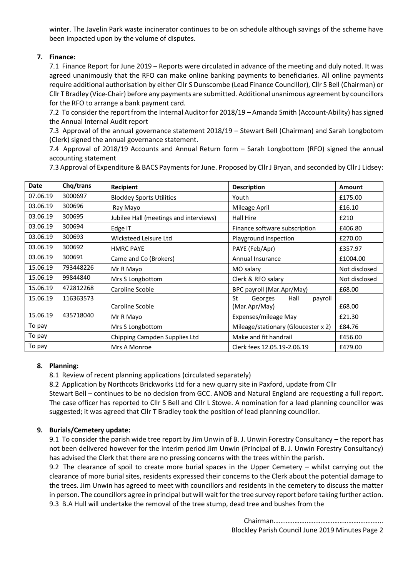winter. The Javelin Park waste incinerator continues to be on schedule although savings of the scheme have been impacted upon by the volume of disputes.

# **7. Finance:**

7.1 Finance Report for June 2019 – Reports were circulated in advance of the meeting and duly noted. It was agreed unanimously that the RFO can make online banking payments to beneficiaries. All online payments require additional authorisation by either Cllr S Dunscombe (Lead Finance Councillor), Cllr S Bell (Chairman) or Cllr T Bradley (Vice-Chair) before any payments are submitted. Additional unanimous agreement by councillors for the RFO to arrange a bank payment card.

7.2 To consider the report from the Internal Auditor for 2018/19 – Amanda Smith (Account-Ability) has signed the Annual Internal Audit report

7.3 Approval of the annual governance statement 2018/19 – Stewart Bell (Chairman) and Sarah Longbotom (Clerk) signed the annual governance statement.

7.4 Approval of 2018/19 Accounts and Annual Return form – Sarah Longbottom (RFO) signed the annual accounting statement

7.3 Approval of Expenditure & BACS Payments for June. Proposed by Cllr J Bryan, and seconded by Cllr J Lidsey:

| Date     | Chq/trans | Recipient                              | <b>Description</b>                  | <b>Amount</b> |
|----------|-----------|----------------------------------------|-------------------------------------|---------------|
| 07.06.19 | 3000697   | <b>Blockley Sports Utilities</b>       | Youth                               | £175.00       |
| 03.06.19 | 300696    | Ray Mayo                               | Mileage April                       | £16.10        |
| 03.06.19 | 300695    | Jubilee Hall (meetings and interviews) | <b>Hall Hire</b>                    | £210          |
| 03.06.19 | 300694    | Edge IT                                | Finance software subscription       | £406.80       |
| 03.06.19 | 300693    | Wicksteed Leisure Ltd                  | Playground inspection               | £270.00       |
| 03.06.19 | 300692    | <b>HMRC PAYE</b>                       | PAYE (Feb/Apr)                      | £357.97       |
| 03.06.19 | 300691    | Came and Co (Brokers)                  | Annual Insurance                    | £1004.00      |
| 15.06.19 | 793448226 | Mr R Mayo                              | MO salary                           | Not disclosed |
| 15.06.19 | 99844840  | Mrs S Longbottom                       | Clerk & RFO salary                  | Not disclosed |
| 15.06.19 | 472812268 | Caroline Scobie                        | BPC payroll (Mar.Apr/May)           | £68.00        |
| 15.06.19 | 116363573 |                                        | Hall<br>St<br>Georges<br>payroll    |               |
|          |           | Caroline Scobie                        | (Mar.Apr/May)                       | £68.00        |
| 15.06.19 | 435718040 | Mr R Mayo                              | Expenses/mileage May                | £21.30        |
| To pay   |           | Mrs S Longbottom                       | Mileage/stationary (Gloucester x 2) | £84.76        |
| To pay   |           | Chipping Campden Supplies Ltd          | Make and fit handrail               | £456.00       |
| To pay   |           | Mrs A Monroe                           | Clerk fees 12.05.19-2.06.19         | £479.00       |

## **8. Planning:**

8.1 Review of recent planning applications (circulated separately)

8.2 Application by Northcots Brickworks Ltd for a new quarry site in Paxford, update from Cllr Stewart Bell – continues to be no decision from GCC. ANOB and Natural England are requesting a full report. The case officer has reported to Cllr S Bell and Cllr L Stowe. A nomination for a lead planning councillor was suggested; it was agreed that Cllr T Bradley took the position of lead planning councillor.

## **9. Burials/Cemetery update:**

9.1 To consider the parish wide tree report by Jim Unwin of B. J. Unwin Forestry Consultancy – the report has not been delivered however for the interim period Jim Unwin (Principal of B. J. Unwin Forestry Consultancy) has advised the Clerk that there are no pressing concerns with the trees within the parish.

9.2 The clearance of spoil to create more burial spaces in the Upper Cemetery – whilst carrying out the clearance of more burial sites, residents expressed their concerns to the Clerk about the potential damage to the trees. Jim Unwin has agreed to meet with councillors and residents in the cemetery to discuss the matter in person. The councillors agree in principal but will wait for the tree survey report before taking further action. 9.3 B.A Hull will undertake the removal of the tree stump, dead tree and bushes from the

> Chairman……………….…………………………………….. Blockley Parish Council June 2019 Minutes Page 2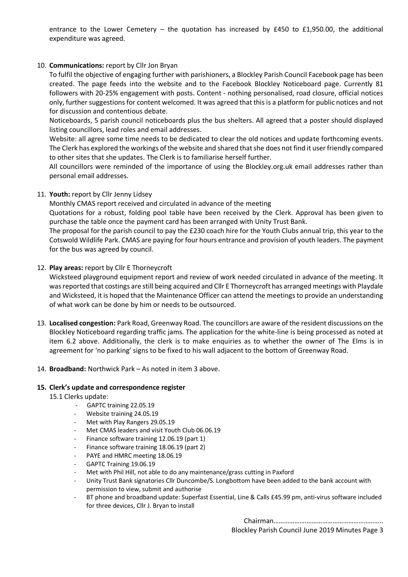entrance to the Lower Cemetery – the quotation has increased by £450 to £1,950.00, the additional expenditure was agreed.

### 10. **Communications:** report by Cllr Jon Bryan

To fulfil the objective of engaging further with parishioners, a Blockley Parish Council Facebook page has been created. The page feeds into the website and to the Facebook Blockley Noticeboard page. Currently 81 followers with 20-25% engagement with posts. Content - nothing personalised, road closure, official notices only, further suggestions for content welcomed. It was agreed that this is a platform for public notices and not for discussion and contentious debate.

Noticeboards, 5 parish council noticeboards plus the bus shelters. All agreed that a poster should displayed listing councillors, lead roles and email addresses.

Website: all agree some time needs to be dedicated to clear the old notices and update forthcoming events. The Clerk has explored the workings of the website and shared that she does not find it user friendly compared to other sites that she updates. The Clerk is to familiarise herself further.

All councillors were reminded of the importance of using the Blockley.org.uk email addresses rather than personal email addresses.

### 11. **Youth:** report by Cllr Jenny Lidsey

Monthly CMAS report received and circulated in advance of the meeting

Quotations for a robust, folding pool table have been received by the Clerk. Approval has been given to purchase the table once the payment card has been arranged with Unity Trust Bank.

The proposal for the parish council to pay the £230 coach hire for the Youth Clubs annual trip, this year to the Cotswold Wildlife Park. CMAS are paying for four hours entrance and provision of youth leaders. The payment for the bus was agreed by council.

### 12. **Play areas:** report by Cllr E Thorneycroft

Wicksteed playground equipment report and review of work needed circulated in advance of the meeting. It was reported that costings are still being acquired and Cllr E Thorneycroft has arranged meetings with Playdale and Wicksteed, it is hoped that the Maintenance Officer can attend the meetings to provide an understanding of what work can be done by him or needs to be outsourced.

13. **Localised congestion:** Park Road, Greenway Road. The councillors are aware of the resident discussions on the Blockley Noticeboard regarding traffic jams. The application for the white-line is being processed as noted at item 6.2 above. Additionally, the clerk is to make enquiries as to whether the owner of The Elms is in agreement for 'no parking' signs to be fixed to his wall adjacent to the bottom of Greenway Road.

#### 14. **Broadband:** Northwick Park – As noted in item 3 above.

#### **15. Clerk's update and correspondence register**

- 15.1 Clerks update:
	- GAPTC training 22.05.19
	- Website training 24.05.19
	- Met with Play Rangers 29.05.19
	- Met CMAS leaders and visit Youth Club 06.06.19
	- Finance software training 12.06.19 (part 1)
	- Finance software training 18.06.19 (part 2)
	- PAYE and HMRC meeting 18.06.19
	- GAPTC Training 19.06.19
	- Met with Phil Hill, not able to do any maintenance/grass cutting in Paxford
	- Unity Trust Bank signatories Cllr Duncombe/S. Longbottom have been added to the bank account with permission to view, submit and authorise
	- BT phone and broadband update: Superfast Essential, Line & Calls £45.99 pm, anti-virus software included for three devices, Cllr J. Bryan to install

Chairman……………….……………………………………..

Blockley Parish Council June 2019 Minutes Page 3